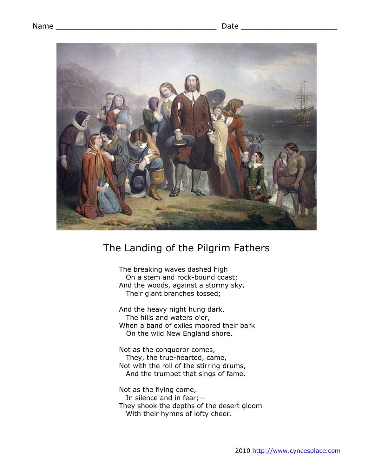

## The Landing of the Pilgrim Fathers

The breaking waves dashed high On a stem and rock-bound coast; And the woods, against a stormy sky, Their giant branches tossed;

And the heavy night hung dark, The hills and waters o'er, When a band of exiles moored their bark On the wild New England shore.

Not as the conqueror comes, They, the true-hearted, came, Not with the roll of the stirring drums, And the trumpet that sings of fame.

Not as the flying come, In silence and in fear;— They shook the depths of the desert gloom With their hymns of lofty cheer.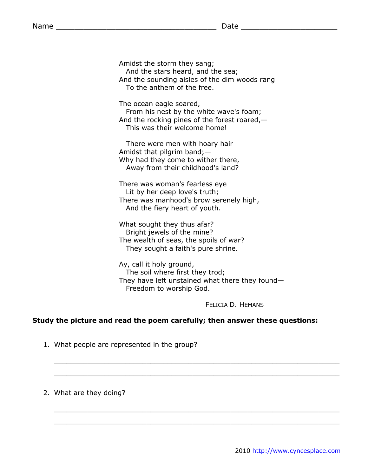Amidst the storm they sang; And the stars heard, and the sea; And the sounding aisles of the dim woods rang To the anthem of the free.

The ocean eagle soared,

From his nest by the white wave's foam; And the rocking pines of the forest roared,— This was their welcome home!

There were men with hoary hair Amidst that pilgrim band;— Why had they come to wither there, Away from their childhood's land?

There was woman's fearless eye Lit by her deep love's truth; There was manhood's brow serenely high, And the fiery heart of youth.

What sought they thus afar? Bright jewels of the mine? The wealth of seas, the spoils of war? They sought a faith's pure shrine.

Ay, call it holy ground, The soil where first they trod; They have left unstained what there they found— Freedom to worship God.

 $\mathcal{L}_\mathcal{L} = \{ \mathcal{L}_\mathcal{L} = \{ \mathcal{L}_\mathcal{L} = \{ \mathcal{L}_\mathcal{L} = \{ \mathcal{L}_\mathcal{L} = \{ \mathcal{L}_\mathcal{L} = \{ \mathcal{L}_\mathcal{L} = \{ \mathcal{L}_\mathcal{L} = \{ \mathcal{L}_\mathcal{L} = \{ \mathcal{L}_\mathcal{L} = \{ \mathcal{L}_\mathcal{L} = \{ \mathcal{L}_\mathcal{L} = \{ \mathcal{L}_\mathcal{L} = \{ \mathcal{L}_\mathcal{L} = \{ \mathcal{L}_\mathcal{$ 

 $\_$  , and the set of the set of the set of the set of the set of the set of the set of the set of the set of the set of the set of the set of the set of the set of the set of the set of the set of the set of the set of th

 $\_$  , and the set of the set of the set of the set of the set of the set of the set of the set of the set of the set of the set of the set of the set of the set of the set of the set of the set of the set of the set of th

 $\mathcal{L}_\mathcal{L} = \{ \mathcal{L}_\mathcal{L} = \{ \mathcal{L}_\mathcal{L} = \{ \mathcal{L}_\mathcal{L} = \{ \mathcal{L}_\mathcal{L} = \{ \mathcal{L}_\mathcal{L} = \{ \mathcal{L}_\mathcal{L} = \{ \mathcal{L}_\mathcal{L} = \{ \mathcal{L}_\mathcal{L} = \{ \mathcal{L}_\mathcal{L} = \{ \mathcal{L}_\mathcal{L} = \{ \mathcal{L}_\mathcal{L} = \{ \mathcal{L}_\mathcal{L} = \{ \mathcal{L}_\mathcal{L} = \{ \mathcal{L}_\mathcal{$ 

FELICIA D. HEMANS

## **Study the picture and read the poem carefully; then answer these questions:**

- 1. What people are represented in the group?
- 2. What are they doing?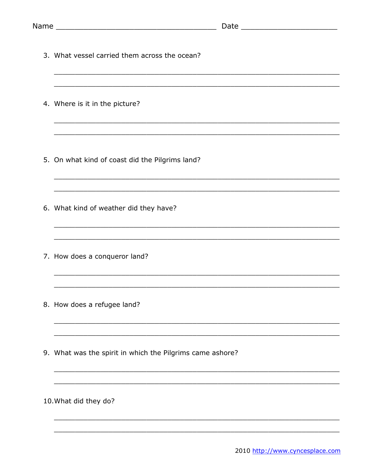| 3. What vessel carried them across the ocean?<br><u> 2003 - 2004 - 2005 - 2006 - 2007 - 2008 - 2008 - 2008 - 2008 - 2008 - 2008 - 2008 - 2008 - 2008 - 2008 - 200</u> |
|-----------------------------------------------------------------------------------------------------------------------------------------------------------------------|
| 4. Where is it in the picture?                                                                                                                                        |
| 5. On what kind of coast did the Pilgrims land?                                                                                                                       |
| 6. What kind of weather did they have?                                                                                                                                |
| 7. How does a conqueror land?                                                                                                                                         |
| 8. How does a refugee land?                                                                                                                                           |
| 9. What was the spirit in which the Pilgrims came ashore?                                                                                                             |
| 10. What did they do?                                                                                                                                                 |
|                                                                                                                                                                       |